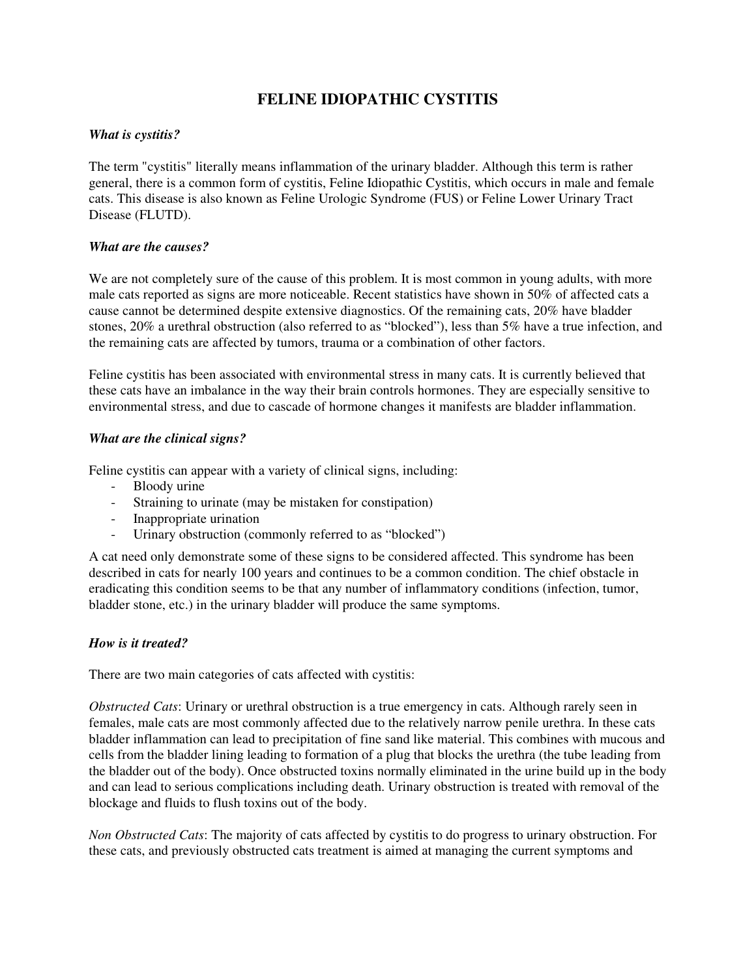# **FELINE IDIOPATHIC CYSTITIS**

## *What is cystitis?*

The term "cystitis" literally means inflammation of the urinary bladder. Although this term is rather general, there is a common form of cystitis, Feline Idiopathic Cystitis, which occurs in male and female cats. This disease is also known as Feline Urologic Syndrome (FUS) or Feline Lower Urinary Tract Disease (FLUTD).

## *What are the causes?*

We are not completely sure of the cause of this problem. It is most common in young adults, with more male cats reported as signs are more noticeable. Recent statistics have shown in 50% of affected cats a cause cannot be determined despite extensive diagnostics. Of the remaining cats, 20% have bladder stones, 20% a urethral obstruction (also referred to as "blocked"), less than 5% have a true infection, and the remaining cats are affected by tumors, trauma or a combination of other factors.

Feline cystitis has been associated with environmental stress in many cats. It is currently believed that these cats have an imbalance in the way their brain controls hormones. They are especially sensitive to environmental stress, and due to cascade of hormone changes it manifests are bladder inflammation.

### *What are the clinical signs?*

Feline cystitis can appear with a variety of clinical signs, including:

- Bloody urine
- Straining to urinate (may be mistaken for constipation)
- Inappropriate urination
- Urinary obstruction (commonly referred to as "blocked")

A cat need only demonstrate some of these signs to be considered affected. This syndrome has been described in cats for nearly 100 years and continues to be a common condition. The chief obstacle in eradicating this condition seems to be that any number of inflammatory conditions (infection, tumor, bladder stone, etc.) in the urinary bladder will produce the same symptoms.

### *How is it treated?*

There are two main categories of cats affected with cystitis:

*Obstructed Cats*: Urinary or urethral obstruction is a true emergency in cats. Although rarely seen in females, male cats are most commonly affected due to the relatively narrow penile urethra. In these cats bladder inflammation can lead to precipitation of fine sand like material. This combines with mucous and cells from the bladder lining leading to formation of a plug that blocks the urethra (the tube leading from the bladder out of the body). Once obstructed toxins normally eliminated in the urine build up in the body and can lead to serious complications including death. Urinary obstruction is treated with removal of the blockage and fluids to flush toxins out of the body.

*Non Obstructed Cats*: The majority of cats affected by cystitis to do progress to urinary obstruction. For these cats, and previously obstructed cats treatment is aimed at managing the current symptoms and